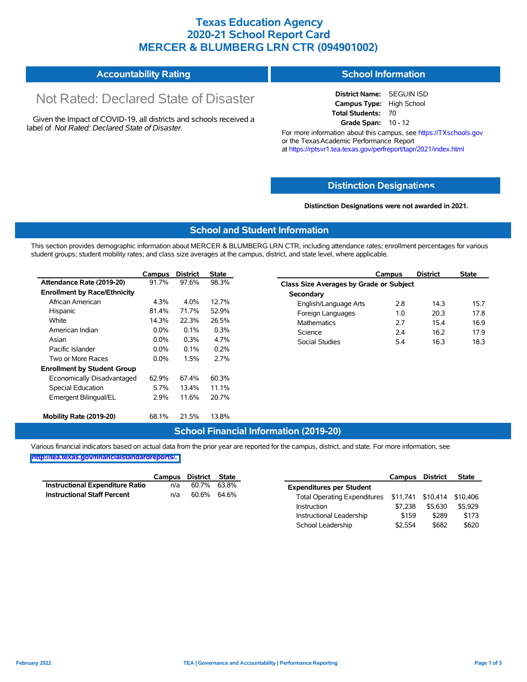### **Texas Education Agency 2020-21 School Report Card MERCER & BLUMBERG LRN CTR (094901002)**

#### **Accountability Rating School Information**

# Not Rated: Declared State of Disaster

Given the Impact of COVID-19, all districts and schools received a label of *Not Rated: Declared State of Disaster.*

**District Name:** SEGUIN ISD **Campus Type:** High School **Total Students:** 70 **Grade Span:** 10 - 12

For more information about this campus, see https://TXschools.gov or the Texas Academic Performance Report at https://rptsvr1.tea.texas.gov/perfreport/tapr/2021/index.html

#### **Distinction Designat[ions](https://TXschools.gov)**

**Distinction Designations were not awarded in 2021.**

School Leadership  $$2,554$  \$682 \$620

#### **School and Student Information**

This section provides demographic information about MERCER & BLUMBERG LRN CTR, including attendance rates; enrollment percentages for various student groups; student mobility rates; and class size averages at the campus, district, and state level, where applicable.

|                                     | Campus  | <b>District</b> | <b>State</b> | Campus                       | <b>District</b>                                |  |  |  |  |  |
|-------------------------------------|---------|-----------------|--------------|------------------------------|------------------------------------------------|--|--|--|--|--|
| Attendance Rate (2019-20)           | 91.7%   | 97.6%           | 98.3%        |                              | <b>Class Size Averages by Grade or Subject</b> |  |  |  |  |  |
| <b>Enrollment by Race/Ethnicity</b> |         |                 |              | Secondary                    |                                                |  |  |  |  |  |
| African American                    | 4.3%    | 4.0%            | 12.7%        | 2.8<br>English/Language Arts | 14.3                                           |  |  |  |  |  |
| Hispanic                            | 81.4%   | 71.7%           | 52.9%        | 1.0<br>Foreign Languages     | 20.3                                           |  |  |  |  |  |
| White                               | 14.3%   | 22.3%           | 26.5%        | 2.7<br><b>Mathematics</b>    | 15.4                                           |  |  |  |  |  |
| American Indian                     | $0.0\%$ | 0.1%            | 0.3%         | Science<br>2.4               | 16.2                                           |  |  |  |  |  |
| Asian                               | $0.0\%$ | 0.3%            | 4.7%         | 5.4<br><b>Social Studies</b> | 16.3                                           |  |  |  |  |  |
| Pacific Islander                    | $0.0\%$ | 0.1%            | 0.2%         |                              |                                                |  |  |  |  |  |
| Two or More Races                   | 0.0%    | 1.5%            | 2.7%         |                              |                                                |  |  |  |  |  |
| <b>Enrollment by Student Group</b>  |         |                 |              |                              |                                                |  |  |  |  |  |
| Economically Disadvantaged          | 62.9%   | 67.4%           | 60.3%        |                              |                                                |  |  |  |  |  |
| Special Education                   | 5.7%    | 13.4%           | 11.1%        |                              |                                                |  |  |  |  |  |
| Emergent Bilingual/EL               | 2.9%    | 11.6%           | 20.7%        |                              |                                                |  |  |  |  |  |
| Mobility Rate (2019-20)             | 68.1%   | 21.5%           | 13.8%        |                              |                                                |  |  |  |  |  |

#### **School Financial Information (2019-20)**

Various financial indicators based on actual data from the prior year are reported for the campus, district, and state. For more information, see

**[http://tea.texas.gov/financialstandardreports/.](http://tea.texas.gov/financialstandardreports/)**

|                                        | Campus | District State |       |                                                         | Campus  | <b>District</b> | <b>State</b> |
|----------------------------------------|--------|----------------|-------|---------------------------------------------------------|---------|-----------------|--------------|
| <b>Instructional Expenditure Ratio</b> | n/a    | 60.7%          | 63.8% | <b>Expenditures per Student</b>                         |         |                 |              |
| <b>Instructional Staff Percent</b>     | n/a    | 60.6% 64.6%    |       | Total Operating Expenditures \$11,741 \$10,414 \$10,406 |         |                 |              |
|                                        |        |                |       | Instruction                                             | \$7.238 | \$5,630         | \$5.929      |
|                                        |        |                |       | Instructional Leadership                                | \$159   | \$289           | \$173        |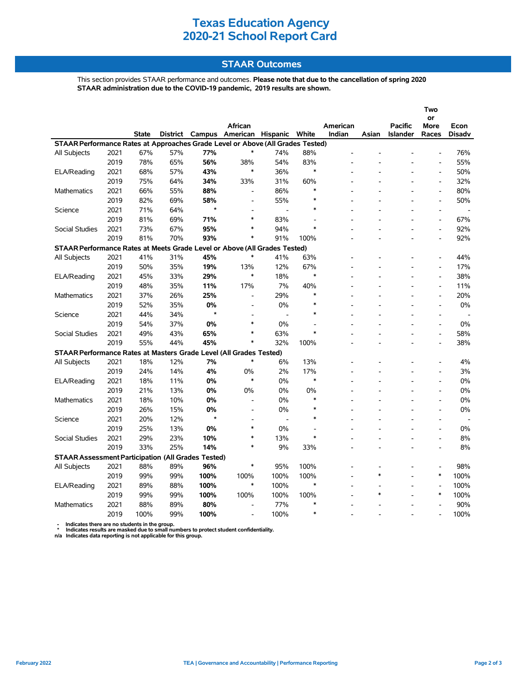### **Texas Education Agency 2020-21 School Report Card**

#### **STAAR Outcomes**

This section provides STAAR performance and outcomes. **Please note that due to the cancellation of spring 2020 STAAR administration due to the COVID-19 pandemic, 2019 results are shown.**

|                                                                                                                                                                                                                    |      |      |     |                |                              |      |                          |          |        |                | Two                          |       |  |
|--------------------------------------------------------------------------------------------------------------------------------------------------------------------------------------------------------------------|------|------|-----|----------------|------------------------------|------|--------------------------|----------|--------|----------------|------------------------------|-------|--|
|                                                                                                                                                                                                                    |      |      |     |                |                              |      |                          |          |        |                | or                           |       |  |
|                                                                                                                                                                                                                    |      |      |     |                | African                      |      |                          | American |        | <b>Pacific</b> | More                         | Econ  |  |
| <b>District</b><br>Campus<br>American Hispanic<br>White<br>Indian<br>Asian<br>State<br><b>Islander</b><br>Races<br><b>Disadv</b><br>STAAR Performance Rates at Approaches Grade Level or Above (All Grades Tested) |      |      |     |                |                              |      |                          |          |        |                |                              |       |  |
|                                                                                                                                                                                                                    | 2021 | 67%  | 57% | 77%            | $\ast$                       | 74%  | 88%                      |          |        |                |                              | 76%   |  |
| All Subjects                                                                                                                                                                                                       | 2019 | 78%  | 65% | 56%            | 38%                          | 54%  | 83%                      |          |        |                |                              | 55%   |  |
|                                                                                                                                                                                                                    | 2021 | 68%  | 57% | 43%            | $\ast$                       | 36%  | $\ast$                   |          |        |                |                              | 50%   |  |
| ELA/Reading                                                                                                                                                                                                        | 2019 | 75%  |     |                |                              | 31%  |                          |          |        |                |                              | 32%   |  |
|                                                                                                                                                                                                                    |      |      | 64% | 34%            | 33%                          |      | 60%<br>$\ast$            |          |        |                | $\frac{1}{2}$                |       |  |
| <b>Mathematics</b>                                                                                                                                                                                                 | 2021 | 66%  | 55% | 88%            | $\qquad \qquad \blacksquare$ | 86%  | $\ast$                   |          |        |                | $\qquad \qquad \blacksquare$ | 80%   |  |
|                                                                                                                                                                                                                    | 2019 | 82%  | 69% | 58%<br>$\star$ | $\overline{a}$               | 55%  | $\ast$                   |          |        |                | $\overline{a}$               | 50%   |  |
| Science                                                                                                                                                                                                            | 2021 | 71%  | 64% |                | $\overline{a}$<br>$\ast$     |      |                          |          |        |                | $\overline{a}$               |       |  |
|                                                                                                                                                                                                                    | 2019 | 81%  | 69% | 71%            |                              | 83%  | $\overline{\phantom{a}}$ |          |        |                | $\frac{1}{2}$                | 67%   |  |
| <b>Social Studies</b>                                                                                                                                                                                              | 2021 | 73%  | 67% | 95%            | *                            | 94%  | $\ast$                   |          |        |                | $\overline{a}$               | 92%   |  |
|                                                                                                                                                                                                                    | 2019 | 81%  | 70% | 93%            | $\ast$                       | 91%  | 100%                     |          |        |                |                              | 92%   |  |
| STAAR Performance Rates at Meets Grade Level or Above (All Grades Tested)                                                                                                                                          |      |      |     |                |                              |      |                          |          |        |                |                              |       |  |
| All Subjects                                                                                                                                                                                                       | 2021 | 41%  | 31% | 45%            |                              | 41%  | 63%                      |          |        |                |                              | 44%   |  |
|                                                                                                                                                                                                                    | 2019 | 50%  | 35% | 19%            | 13%                          | 12%  | 67%                      |          |        |                |                              | 17%   |  |
| ELA/Reading                                                                                                                                                                                                        | 2021 | 45%  | 33% | 29%            | $\ast$                       | 18%  | $\ast$                   |          |        |                | $\overline{a}$               | 38%   |  |
|                                                                                                                                                                                                                    | 2019 | 48%  | 35% | 11%            | 17%                          | 7%   | 40%                      |          |        |                | $\frac{1}{2}$                | 11%   |  |
| <b>Mathematics</b>                                                                                                                                                                                                 | 2021 | 37%  | 26% | 25%            | $\qquad \qquad \blacksquare$ | 29%  | $\ast$                   |          |        |                | $\qquad \qquad \blacksquare$ | 20%   |  |
|                                                                                                                                                                                                                    | 2019 | 52%  | 35% | 0%             | $\overline{a}$               | 0%   | $\ast$                   |          |        |                | $\overline{a}$               | 0%    |  |
| Science                                                                                                                                                                                                            | 2021 | 44%  | 34% | $\star$        |                              |      | $\ast$                   |          |        |                | $\overline{a}$               |       |  |
|                                                                                                                                                                                                                    | 2019 | 54%  | 37% | 0%             | $\ast$                       | 0%   | $\overline{a}$           |          |        |                | $\overline{a}$               | 0%    |  |
| <b>Social Studies</b>                                                                                                                                                                                              | 2021 | 49%  | 43% | 65%            | *                            | 63%  | $\ast$                   |          |        |                | $\overline{\phantom{a}}$     | 58%   |  |
|                                                                                                                                                                                                                    | 2019 | 55%  | 44% | 45%            | $\ast$                       | 32%  | 100%                     |          |        |                |                              | 38%   |  |
| STAAR Performance Rates at Masters Grade Level (All Grades Tested)                                                                                                                                                 |      |      |     |                |                              |      |                          |          |        |                |                              |       |  |
| <b>All Subjects</b>                                                                                                                                                                                                | 2021 | 18%  | 12% | 7%             | $\ast$                       | 6%   | 13%                      |          |        |                | $\overline{a}$               | 4%    |  |
|                                                                                                                                                                                                                    | 2019 | 24%  | 14% | 4%             | 0%                           | 2%   | 17%                      |          |        |                |                              | 3%    |  |
| ELA/Reading                                                                                                                                                                                                        | 2021 | 18%  | 11% | 0%             | $\ast$                       | 0%   | $\ast$                   |          |        |                |                              | 0%    |  |
|                                                                                                                                                                                                                    | 2019 | 21%  | 13% | 0%             | 0%                           | 0%   | 0%                       |          |        |                |                              | $0\%$ |  |
| <b>Mathematics</b>                                                                                                                                                                                                 | 2021 | 18%  | 10% | 0%             | $\overline{a}$               | 0%   | $\ast$                   |          |        |                | $\overline{a}$               | 0%    |  |
|                                                                                                                                                                                                                    | 2019 | 26%  | 15% | 0%             |                              | 0%   | $\ast$                   |          |        |                |                              | 0%    |  |
| Science                                                                                                                                                                                                            | 2021 | 20%  | 12% | $\star$        |                              |      |                          |          |        |                |                              |       |  |
|                                                                                                                                                                                                                    | 2019 | 25%  | 13% | 0%             | $\ast$                       | 0%   |                          |          |        |                | $\overline{a}$               | 0%    |  |
| <b>Social Studies</b>                                                                                                                                                                                              | 2021 | 29%  | 23% | 10%            | $\ast$                       | 13%  | $\ast$                   |          |        |                | $\overline{a}$               | 8%    |  |
|                                                                                                                                                                                                                    | 2019 | 33%  | 25% | 14%            | $\ast$                       | 9%   | 33%                      |          |        |                |                              | 8%    |  |
| <b>STAAR Assessment Participation (All Grades Tested)</b>                                                                                                                                                          |      |      |     |                |                              |      |                          |          |        |                |                              |       |  |
| All Subjects                                                                                                                                                                                                       | 2021 | 88%  | 89% | 96%            | $\ast$                       | 95%  | 100%                     |          |        |                | $\overline{\phantom{a}}$     | 98%   |  |
|                                                                                                                                                                                                                    | 2019 | 99%  | 99% | 100%           | 100%                         | 100% | 100%                     |          | $\ast$ |                | $\ast$                       | 100%  |  |
| ELA/Reading                                                                                                                                                                                                        | 2021 | 89%  | 88% | 100%           | $\ast$                       | 100% | $\ast$                   |          |        |                | $\overline{a}$               | 100%  |  |
|                                                                                                                                                                                                                    | 2019 | 99%  | 99% | 100%           | 100%                         | 100% | 100%                     |          | $\ast$ |                | $\ast$                       | 100%  |  |
|                                                                                                                                                                                                                    |      |      |     |                |                              |      | $\ast$                   |          |        |                |                              |       |  |
| <b>Mathematics</b>                                                                                                                                                                                                 | 2021 | 88%  | 89% | 80%            | $\blacksquare$               | 77%  | $\ast$                   |          |        |                |                              | 90%   |  |
|                                                                                                                                                                                                                    | 2019 | 100% | 99% | 100%           |                              | 100% |                          |          |        |                |                              | 100%  |  |

 **- Indicates there are no students in the group. \* Indicates results are masked due to small numbers to protect student confidentiality.**

**n/a Indicates data reporting is not applicable for this group.**